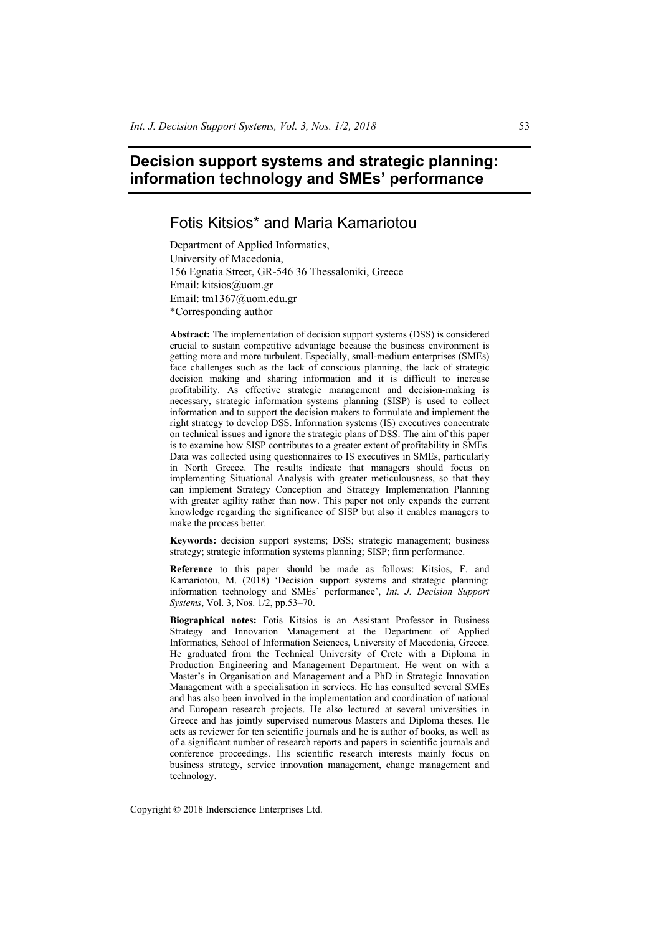# **Decision support systems and strategic planning: information technology and SMEs' performance**

# Fotis Kitsios\* and Maria Kamariotou

Department of Applied Informatics, University of Macedonia, 156 Egnatia Street, GR-546 36 Thessaloniki, Greece Email: kitsios@uom.gr Email: tm1367@uom.edu.gr \*Corresponding author

**Abstract:** The implementation of decision support systems (DSS) is considered crucial to sustain competitive advantage because the business environment is getting more and more turbulent. Especially, small-medium enterprises (SMEs) face challenges such as the lack of conscious planning, the lack of strategic decision making and sharing information and it is difficult to increase profitability. As effective strategic management and decision-making is necessary, strategic information systems planning (SISP) is used to collect information and to support the decision makers to formulate and implement the right strategy to develop DSS. Information systems (IS) executives concentrate on technical issues and ignore the strategic plans of DSS. The aim of this paper is to examine how SISP contributes to a greater extent of profitability in SMEs. Data was collected using questionnaires to IS executives in SMEs, particularly in North Greece. The results indicate that managers should focus on implementing Situational Analysis with greater meticulousness, so that they can implement Strategy Conception and Strategy Implementation Planning with greater agility rather than now. This paper not only expands the current knowledge regarding the significance of SISP but also it enables managers to make the process better.

**Keywords:** decision support systems; DSS; strategic management; business strategy; strategic information systems planning; SISP; firm performance.

**Reference** to this paper should be made as follows: Kitsios, F. and Kamariotou, M. (2018) 'Decision support systems and strategic planning: information technology and SMEs' performance', *Int. J. Decision Support Systems*, Vol. 3, Nos. 1/2, pp.53–70.

**Biographical notes:** Fotis Kitsios is an Assistant Professor in Business Strategy and Innovation Management at the Department of Applied Informatics, School of Information Sciences, University of Macedonia, Greece. He graduated from the Technical University of Crete with a Diploma in Production Engineering and Management Department. He went on with a Master's in Organisation and Management and a PhD in Strategic Innovation Management with a specialisation in services. He has consulted several SMEs and has also been involved in the implementation and coordination of national and European research projects. He also lectured at several universities in Greece and has jointly supervised numerous Masters and Diploma theses. He acts as reviewer for ten scientific journals and he is author of books, as well as of a significant number of research reports and papers in scientific journals and conference proceedings. His scientific research interests mainly focus on business strategy, service innovation management, change management and technology.

Copyright © 2018 Inderscience Enterprises Ltd.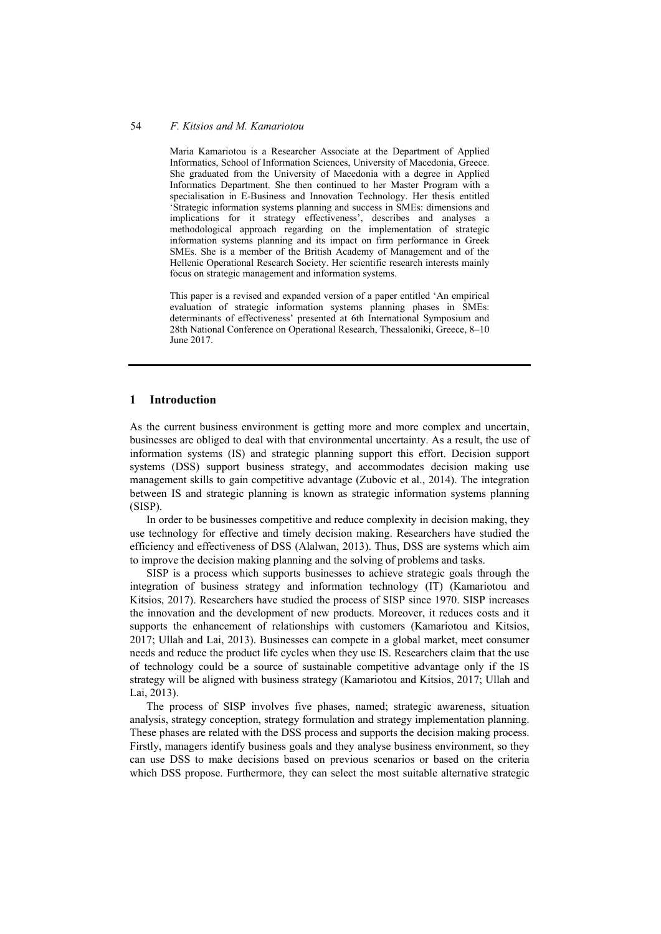Maria Kamariotou is a Researcher Associate at the Department of Applied Informatics, School of Information Sciences, University of Macedonia, Greece. She graduated from the University of Macedonia with a degree in Applied Informatics Department. She then continued to her Master Program with a specialisation in E-Business and Innovation Technology. Her thesis entitled 'Strategic information systems planning and success in SMEs: dimensions and implications for it strategy effectiveness', describes and analyses a methodological approach regarding on the implementation of strategic information systems planning and its impact on firm performance in Greek SMEs. She is a member of the British Academy of Management and of the Hellenic Operational Research Society. Her scientific research interests mainly focus on strategic management and information systems.

This paper is a revised and expanded version of a paper entitled 'An empirical evaluation of strategic information systems planning phases in SMEs: determinants of effectiveness' presented at 6th International Symposium and 28th National Conference on Operational Research, Thessaloniki, Greece, 8–10 June 2017.

# **1 Introduction**

As the current business environment is getting more and more complex and uncertain, businesses are obliged to deal with that environmental uncertainty. As a result, the use of information systems (IS) and strategic planning support this effort. Decision support systems (DSS) support business strategy, and accommodates decision making use management skills to gain competitive advantage (Zubovic et al., 2014). The integration between IS and strategic planning is known as strategic information systems planning (SISP).

In order to be businesses competitive and reduce complexity in decision making, they use technology for effective and timely decision making. Researchers have studied the efficiency and effectiveness of DSS (Alalwan, 2013). Thus, DSS are systems which aim to improve the decision making planning and the solving of problems and tasks.

SISP is a process which supports businesses to achieve strategic goals through the integration of business strategy and information technology (IT) (Kamariotou and Kitsios, 2017). Researchers have studied the process of SISP since 1970. SISP increases the innovation and the development of new products. Moreover, it reduces costs and it supports the enhancement of relationships with customers (Kamariotou and Kitsios, 2017; Ullah and Lai, 2013). Businesses can compete in a global market, meet consumer needs and reduce the product life cycles when they use IS. Researchers claim that the use of technology could be a source of sustainable competitive advantage only if the IS strategy will be aligned with business strategy (Kamariotou and Kitsios, 2017; Ullah and Lai, 2013).

The process of SISP involves five phases, named; strategic awareness, situation analysis, strategy conception, strategy formulation and strategy implementation planning. These phases are related with the DSS process and supports the decision making process. Firstly, managers identify business goals and they analyse business environment, so they can use DSS to make decisions based on previous scenarios or based on the criteria which DSS propose. Furthermore, they can select the most suitable alternative strategic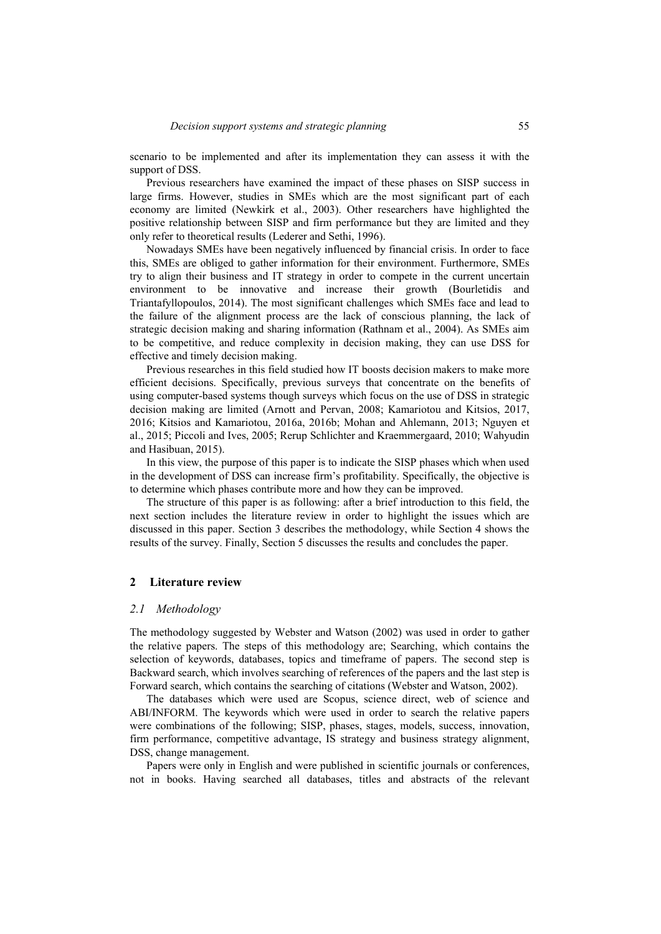scenario to be implemented and after its implementation they can assess it with the support of DSS.

Previous researchers have examined the impact of these phases on SISP success in large firms. However, studies in SMEs which are the most significant part of each economy are limited (Newkirk et al., 2003). Other researchers have highlighted the positive relationship between SISP and firm performance but they are limited and they only refer to theoretical results (Lederer and Sethi, 1996).

Nowadays SMEs have been negatively influenced by financial crisis. In order to face this, SMEs are obliged to gather information for their environment. Furthermore, SMEs try to align their business and IT strategy in order to compete in the current uncertain environment to be innovative and increase their growth (Bourletidis and Triantafyllopoulos, 2014). The most significant challenges which SMEs face and lead to the failure of the alignment process are the lack of conscious planning, the lack of strategic decision making and sharing information (Rathnam et al., 2004). As SMEs aim to be competitive, and reduce complexity in decision making, they can use DSS for effective and timely decision making.

Previous researches in this field studied how IT boosts decision makers to make more efficient decisions. Specifically, previous surveys that concentrate on the benefits of using computer-based systems though surveys which focus on the use of DSS in strategic decision making are limited (Arnott and Pervan, 2008; Kamariotou and Kitsios, 2017, 2016; Kitsios and Kamariotou, 2016a, 2016b; Mohan and Ahlemann, 2013; Nguyen et al., 2015; Piccoli and Ives, 2005; Rerup Schlichter and Kraemmergaard, 2010; Wahyudin and Hasibuan, 2015).

In this view, the purpose of this paper is to indicate the SISP phases which when used in the development of DSS can increase firm's profitability. Specifically, the objective is to determine which phases contribute more and how they can be improved.

The structure of this paper is as following: after a brief introduction to this field, the next section includes the literature review in order to highlight the issues which are discussed in this paper. Section 3 describes the methodology, while Section 4 shows the results of the survey. Finally, Section 5 discusses the results and concludes the paper.

### **2 Literature review**

#### *2.1 Methodology*

The methodology suggested by Webster and Watson (2002) was used in order to gather the relative papers. The steps of this methodology are; Searching, which contains the selection of keywords, databases, topics and timeframe of papers. The second step is Backward search, which involves searching of references of the papers and the last step is Forward search, which contains the searching of citations (Webster and Watson, 2002).

The databases which were used are Scopus, science direct, web of science and ABI/INFORM. The keywords which were used in order to search the relative papers were combinations of the following; SISP, phases, stages, models, success, innovation, firm performance, competitive advantage, IS strategy and business strategy alignment, DSS, change management.

Papers were only in English and were published in scientific journals or conferences, not in books. Having searched all databases, titles and abstracts of the relevant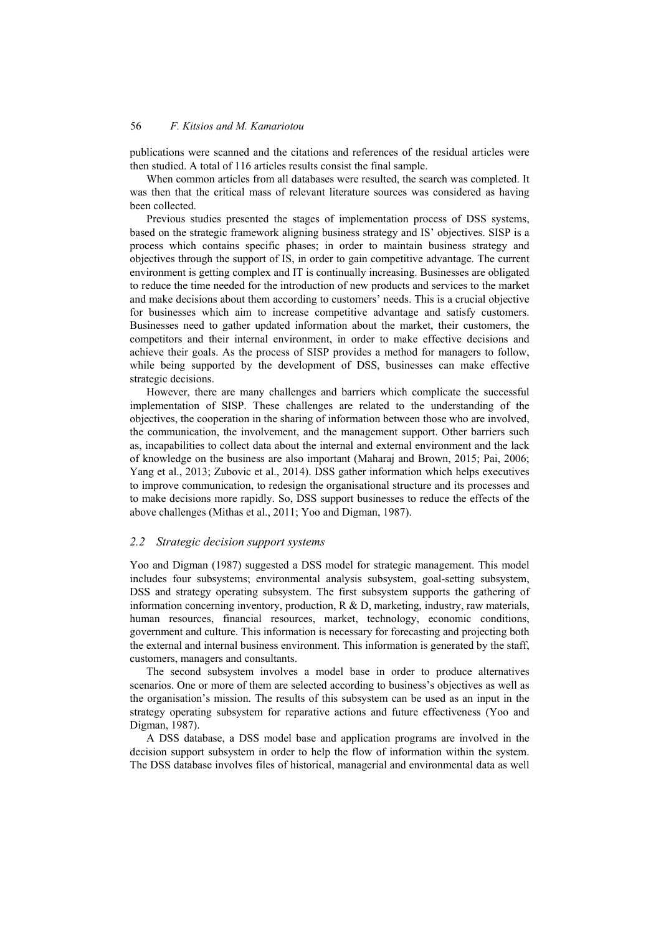publications were scanned and the citations and references of the residual articles were then studied. A total of 116 articles results consist the final sample.

When common articles from all databases were resulted, the search was completed. It was then that the critical mass of relevant literature sources was considered as having been collected.

Previous studies presented the stages of implementation process of DSS systems, based on the strategic framework aligning business strategy and IS' objectives. SISP is a process which contains specific phases; in order to maintain business strategy and objectives through the support of IS, in order to gain competitive advantage. The current environment is getting complex and IT is continually increasing. Businesses are obligated to reduce the time needed for the introduction of new products and services to the market and make decisions about them according to customers' needs. This is a crucial objective for businesses which aim to increase competitive advantage and satisfy customers. Businesses need to gather updated information about the market, their customers, the competitors and their internal environment, in order to make effective decisions and achieve their goals. As the process of SISP provides a method for managers to follow, while being supported by the development of DSS, businesses can make effective strategic decisions.

However, there are many challenges and barriers which complicate the successful implementation of SISP. These challenges are related to the understanding of the objectives, the cooperation in the sharing of information between those who are involved, the communication, the involvement, and the management support. Other barriers such as, incapabilities to collect data about the internal and external environment and the lack of knowledge on the business are also important (Maharaj and Brown, 2015; Pai, 2006; Yang et al., 2013; Zubovic et al., 2014). DSS gather information which helps executives to improve communication, to redesign the organisational structure and its processes and to make decisions more rapidly. So, DSS support businesses to reduce the effects of the above challenges (Mithas et al., 2011; Yoo and Digman, 1987).

# *2.2 Strategic decision support systems*

Yoo and Digman (1987) suggested a DSS model for strategic management. This model includes four subsystems; environmental analysis subsystem, goal-setting subsystem, DSS and strategy operating subsystem. The first subsystem supports the gathering of information concerning inventory, production, R & D, marketing, industry, raw materials, human resources, financial resources, market, technology, economic conditions, government and culture. This information is necessary for forecasting and projecting both the external and internal business environment. This information is generated by the staff, customers, managers and consultants.

The second subsystem involves a model base in order to produce alternatives scenarios. One or more of them are selected according to business's objectives as well as the organisation's mission. The results of this subsystem can be used as an input in the strategy operating subsystem for reparative actions and future effectiveness (Yoo and Digman, 1987).

A DSS database, a DSS model base and application programs are involved in the decision support subsystem in order to help the flow of information within the system. The DSS database involves files of historical, managerial and environmental data as well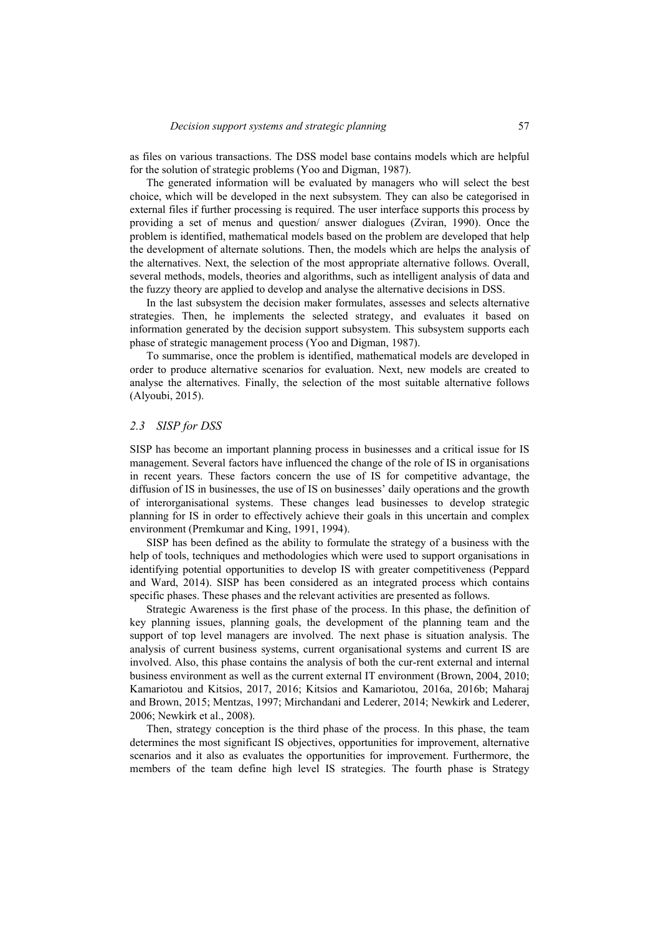as files on various transactions. The DSS model base contains models which are helpful for the solution of strategic problems (Yoo and Digman, 1987).

The generated information will be evaluated by managers who will select the best choice, which will be developed in the next subsystem. They can also be categorised in external files if further processing is required. The user interface supports this process by providing a set of menus and question/ answer dialogues (Zviran, 1990). Once the problem is identified, mathematical models based on the problem are developed that help the development of alternate solutions. Then, the models which are helps the analysis of the alternatives. Next, the selection of the most appropriate alternative follows. Overall, several methods, models, theories and algorithms, such as intelligent analysis of data and the fuzzy theory are applied to develop and analyse the alternative decisions in DSS.

In the last subsystem the decision maker formulates, assesses and selects alternative strategies. Then, he implements the selected strategy, and evaluates it based on information generated by the decision support subsystem. This subsystem supports each phase of strategic management process (Yoo and Digman, 1987).

To summarise, once the problem is identified, mathematical models are developed in order to produce alternative scenarios for evaluation. Next, new models are created to analyse the alternatives. Finally, the selection of the most suitable alternative follows (Alyoubi, 2015).

#### *2.3 SISP for DSS*

SISP has become an important planning process in businesses and a critical issue for IS management. Several factors have influenced the change of the role of IS in organisations in recent years. These factors concern the use of IS for competitive advantage, the diffusion of IS in businesses, the use of IS on businesses' daily operations and the growth of interorganisational systems. These changes lead businesses to develop strategic planning for IS in order to effectively achieve their goals in this uncertain and complex environment (Premkumar and King, 1991, 1994).

SISP has been defined as the ability to formulate the strategy of a business with the help of tools, techniques and methodologies which were used to support organisations in identifying potential opportunities to develop IS with greater competitiveness (Peppard and Ward, 2014). SISP has been considered as an integrated process which contains specific phases. These phases and the relevant activities are presented as follows.

Strategic Awareness is the first phase of the process. In this phase, the definition of key planning issues, planning goals, the development of the planning team and the support of top level managers are involved. The next phase is situation analysis. The analysis of current business systems, current organisational systems and current IS are involved. Also, this phase contains the analysis of both the cur-rent external and internal business environment as well as the current external IT environment (Brown, 2004, 2010; Kamariotou and Kitsios, 2017, 2016; Kitsios and Kamariotou, 2016a, 2016b; Maharaj and Brown, 2015; Mentzas, 1997; Mirchandani and Lederer, 2014; Newkirk and Lederer, 2006; Newkirk et al., 2008).

Then, strategy conception is the third phase of the process. In this phase, the team determines the most significant IS objectives, opportunities for improvement, alternative scenarios and it also as evaluates the opportunities for improvement. Furthermore, the members of the team define high level IS strategies. The fourth phase is Strategy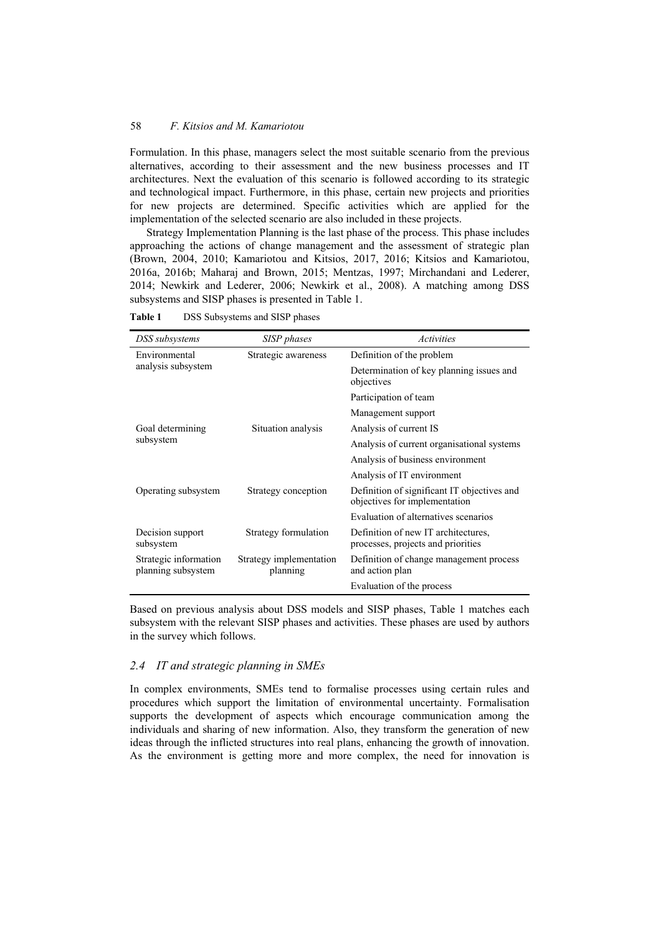Formulation. In this phase, managers select the most suitable scenario from the previous alternatives, according to their assessment and the new business processes and IT architectures. Next the evaluation of this scenario is followed according to its strategic and technological impact. Furthermore, in this phase, certain new projects and priorities for new projects are determined. Specific activities which are applied for the implementation of the selected scenario are also included in these projects.

Strategy Implementation Planning is the last phase of the process. This phase includes approaching the actions of change management and the assessment of strategic plan (Brown, 2004, 2010; Kamariotou and Kitsios, 2017, 2016; Kitsios and Kamariotou, 2016a, 2016b; Maharaj and Brown, 2015; Mentzas, 1997; Mirchandani and Lederer, 2014; Newkirk and Lederer, 2006; Newkirk et al., 2008). A matching among DSS subsystems and SISP phases is presented in Table 1.

**Table 1** DSS Subsystems and SISP phases

| DSS subsystems                              | SISP phases                         | Activities                                                                   |  |
|---------------------------------------------|-------------------------------------|------------------------------------------------------------------------------|--|
| Environmental                               | Strategic awareness                 | Definition of the problem                                                    |  |
| analysis subsystem                          |                                     | Determination of key planning issues and<br>objectives                       |  |
|                                             |                                     | Participation of team                                                        |  |
|                                             |                                     | Management support                                                           |  |
| Goal determining                            | Situation analysis                  | Analysis of current IS                                                       |  |
| subsystem                                   |                                     | Analysis of current organisational systems                                   |  |
|                                             |                                     | Analysis of business environment                                             |  |
|                                             |                                     | Analysis of IT environment                                                   |  |
| Operating subsystem                         | Strategy conception                 | Definition of significant IT objectives and<br>objectives for implementation |  |
|                                             |                                     | Evaluation of alternatives scenarios                                         |  |
| Decision support<br>subsystem               | Strategy formulation                | Definition of new IT architectures,<br>processes, projects and priorities    |  |
| Strategic information<br>planning subsystem | Strategy implementation<br>planning | Definition of change management process<br>and action plan                   |  |
|                                             |                                     | Evaluation of the process                                                    |  |

Based on previous analysis about DSS models and SISP phases, Table 1 matches each subsystem with the relevant SISP phases and activities. These phases are used by authors in the survey which follows.

#### *2.4 IT and strategic planning in SMEs*

In complex environments, SMEs tend to formalise processes using certain rules and procedures which support the limitation of environmental uncertainty. Formalisation supports the development of aspects which encourage communication among the individuals and sharing of new information. Also, they transform the generation of new ideas through the inflicted structures into real plans, enhancing the growth of innovation. As the environment is getting more and more complex, the need for innovation is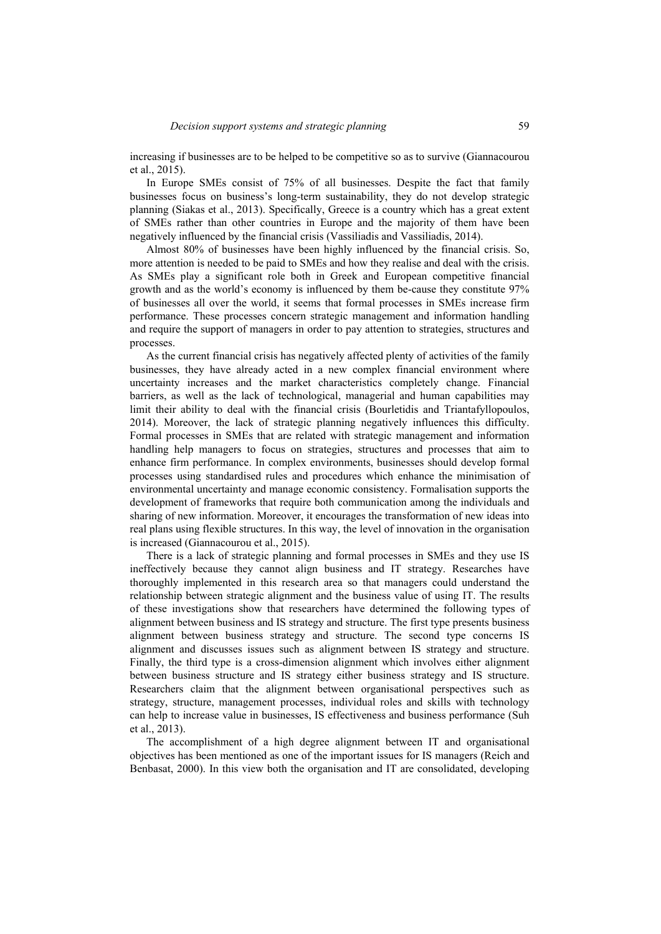increasing if businesses are to be helped to be competitive so as to survive (Giannacourou et al., 2015).

In Europe SMEs consist of 75% of all businesses. Despite the fact that family businesses focus on business's long-term sustainability, they do not develop strategic planning (Siakas et al., 2013). Specifically, Greece is a country which has a great extent of SMEs rather than other countries in Europe and the majority of them have been negatively influenced by the financial crisis (Vassiliadis and Vassiliadis, 2014).

Almost 80% of businesses have been highly influenced by the financial crisis. So, more attention is needed to be paid to SMEs and how they realise and deal with the crisis. As SMEs play a significant role both in Greek and European competitive financial growth and as the world's economy is influenced by them be-cause they constitute 97% of businesses all over the world, it seems that formal processes in SMEs increase firm performance. These processes concern strategic management and information handling and require the support of managers in order to pay attention to strategies, structures and processes.

As the current financial crisis has negatively affected plenty of activities of the family businesses, they have already acted in a new complex financial environment where uncertainty increases and the market characteristics completely change. Financial barriers, as well as the lack of technological, managerial and human capabilities may limit their ability to deal with the financial crisis (Bourletidis and Triantafyllopoulos, 2014). Moreover, the lack of strategic planning negatively influences this difficulty. Formal processes in SMEs that are related with strategic management and information handling help managers to focus on strategies, structures and processes that aim to enhance firm performance. In complex environments, businesses should develop formal processes using standardised rules and procedures which enhance the minimisation of environmental uncertainty and manage economic consistency. Formalisation supports the development of frameworks that require both communication among the individuals and sharing of new information. Moreover, it encourages the transformation of new ideas into real plans using flexible structures. In this way, the level of innovation in the organisation is increased (Giannacourou et al., 2015).

There is a lack of strategic planning and formal processes in SMEs and they use IS ineffectively because they cannot align business and IT strategy. Researches have thoroughly implemented in this research area so that managers could understand the relationship between strategic alignment and the business value of using IT. The results of these investigations show that researchers have determined the following types of alignment between business and IS strategy and structure. The first type presents business alignment between business strategy and structure. The second type concerns IS alignment and discusses issues such as alignment between IS strategy and structure. Finally, the third type is a cross-dimension alignment which involves either alignment between business structure and IS strategy either business strategy and IS structure. Researchers claim that the alignment between organisational perspectives such as strategy, structure, management processes, individual roles and skills with technology can help to increase value in businesses, IS effectiveness and business performance (Suh et al., 2013).

The accomplishment of a high degree alignment between IT and organisational objectives has been mentioned as one of the important issues for IS managers (Reich and Benbasat, 2000). In this view both the organisation and IT are consolidated, developing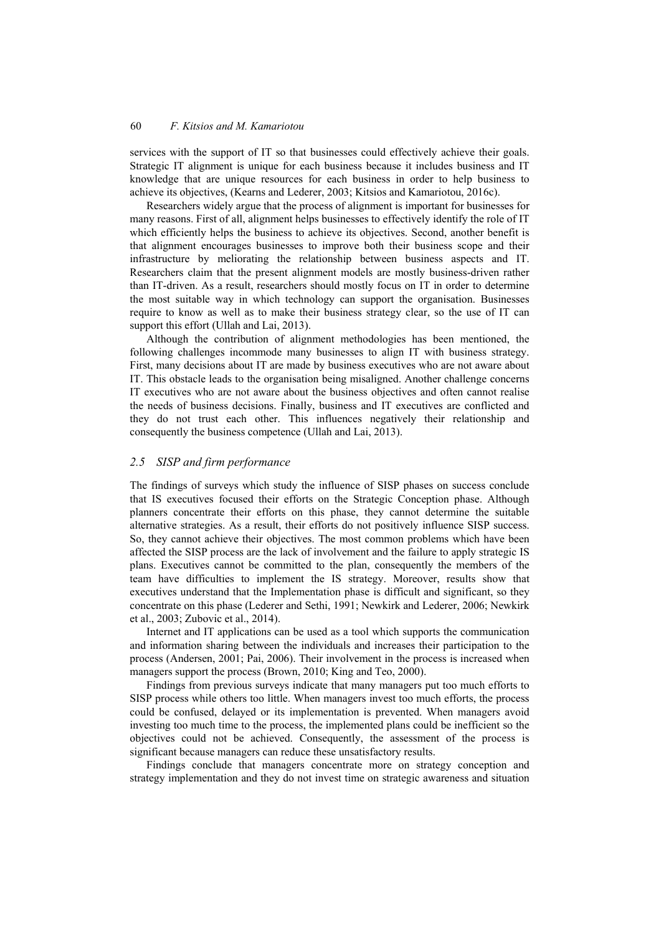services with the support of IT so that businesses could effectively achieve their goals. Strategic IT alignment is unique for each business because it includes business and IT knowledge that are unique resources for each business in order to help business to achieve its objectives, (Kearns and Lederer, 2003; Kitsios and Kamariotou, 2016c).

Researchers widely argue that the process of alignment is important for businesses for many reasons. First of all, alignment helps businesses to effectively identify the role of IT which efficiently helps the business to achieve its objectives. Second, another benefit is that alignment encourages businesses to improve both their business scope and their infrastructure by meliorating the relationship between business aspects and IT. Researchers claim that the present alignment models are mostly business-driven rather than IT-driven. As a result, researchers should mostly focus on IT in order to determine the most suitable way in which technology can support the organisation. Businesses require to know as well as to make their business strategy clear, so the use of IT can support this effort (Ullah and Lai, 2013).

Although the contribution of alignment methodologies has been mentioned, the following challenges incommode many businesses to align IT with business strategy. First, many decisions about IT are made by business executives who are not aware about IT. This obstacle leads to the organisation being misaligned. Another challenge concerns IT executives who are not aware about the business objectives and often cannot realise the needs of business decisions. Finally, business and IT executives are conflicted and they do not trust each other. This influences negatively their relationship and consequently the business competence (Ullah and Lai, 2013).

#### *2.5 SISP and firm performance*

The findings of surveys which study the influence of SISP phases on success conclude that IS executives focused their efforts on the Strategic Conception phase. Although planners concentrate their efforts on this phase, they cannot determine the suitable alternative strategies. As a result, their efforts do not positively influence SISP success. So, they cannot achieve their objectives. The most common problems which have been affected the SISP process are the lack of involvement and the failure to apply strategic IS plans. Executives cannot be committed to the plan, consequently the members of the team have difficulties to implement the IS strategy. Moreover, results show that executives understand that the Implementation phase is difficult and significant, so they concentrate on this phase (Lederer and Sethi, 1991; Newkirk and Lederer, 2006; Newkirk et al., 2003; Zubovic et al., 2014).

Internet and IT applications can be used as a tool which supports the communication and information sharing between the individuals and increases their participation to the process (Andersen, 2001; Pai, 2006). Their involvement in the process is increased when managers support the process (Brown, 2010; King and Teo, 2000).

Findings from previous surveys indicate that many managers put too much efforts to SISP process while others too little. When managers invest too much efforts, the process could be confused, delayed or its implementation is prevented. When managers avoid investing too much time to the process, the implemented plans could be inefficient so the objectives could not be achieved. Consequently, the assessment of the process is significant because managers can reduce these unsatisfactory results.

Findings conclude that managers concentrate more on strategy conception and strategy implementation and they do not invest time on strategic awareness and situation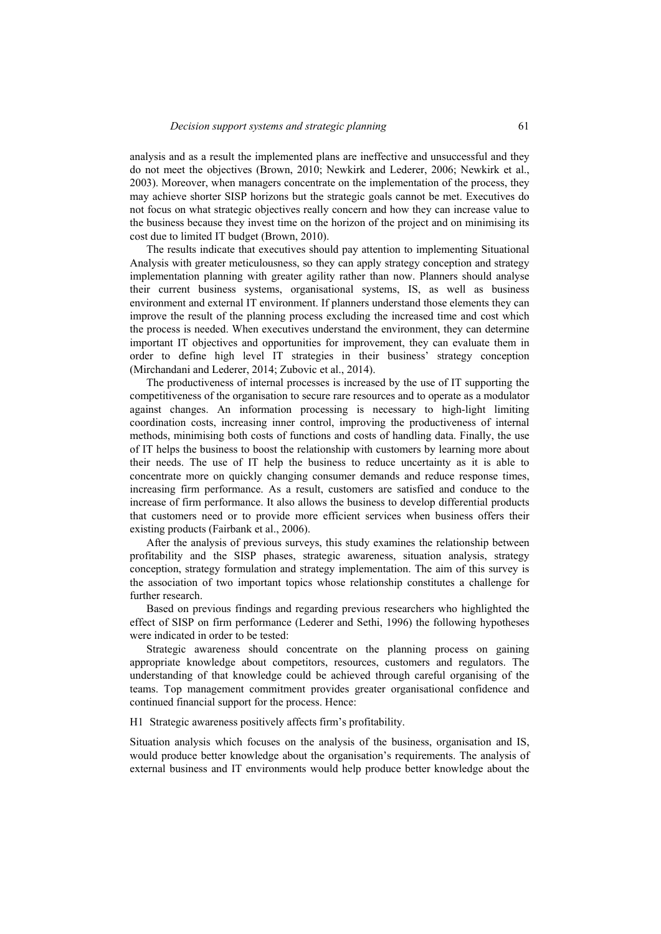analysis and as a result the implemented plans are ineffective and unsuccessful and they do not meet the objectives (Brown, 2010; Newkirk and Lederer, 2006; Newkirk et al., 2003). Moreover, when managers concentrate on the implementation of the process, they may achieve shorter SISP horizons but the strategic goals cannot be met. Executives do not focus on what strategic objectives really concern and how they can increase value to the business because they invest time on the horizon of the project and on minimising its cost due to limited IT budget (Brown, 2010).

The results indicate that executives should pay attention to implementing Situational Analysis with greater meticulousness, so they can apply strategy conception and strategy implementation planning with greater agility rather than now. Planners should analyse their current business systems, organisational systems, IS, as well as business environment and external IT environment. If planners understand those elements they can improve the result of the planning process excluding the increased time and cost which the process is needed. When executives understand the environment, they can determine important IT objectives and opportunities for improvement, they can evaluate them in order to define high level IT strategies in their business' strategy conception (Mirchandani and Lederer, 2014; Zubovic et al., 2014).

The productiveness of internal processes is increased by the use of IT supporting the competitiveness of the organisation to secure rare resources and to operate as a modulator against changes. An information processing is necessary to high-light limiting coordination costs, increasing inner control, improving the productiveness of internal methods, minimising both costs of functions and costs of handling data. Finally, the use of IT helps the business to boost the relationship with customers by learning more about their needs. The use of IT help the business to reduce uncertainty as it is able to concentrate more on quickly changing consumer demands and reduce response times, increasing firm performance. As a result, customers are satisfied and conduce to the increase of firm performance. It also allows the business to develop differential products that customers need or to provide more efficient services when business offers their existing products (Fairbank et al., 2006).

After the analysis of previous surveys, this study examines the relationship between profitability and the SISP phases, strategic awareness, situation analysis, strategy conception, strategy formulation and strategy implementation. The aim of this survey is the association of two important topics whose relationship constitutes a challenge for further research.

Based on previous findings and regarding previous researchers who highlighted the effect of SISP on firm performance (Lederer and Sethi, 1996) the following hypotheses were indicated in order to be tested:

Strategic awareness should concentrate on the planning process on gaining appropriate knowledge about competitors, resources, customers and regulators. The understanding of that knowledge could be achieved through careful organising of the teams. Top management commitment provides greater organisational confidence and continued financial support for the process. Hence:

H1 Strategic awareness positively affects firm's profitability.

Situation analysis which focuses on the analysis of the business, organisation and IS, would produce better knowledge about the organisation's requirements. The analysis of external business and IT environments would help produce better knowledge about the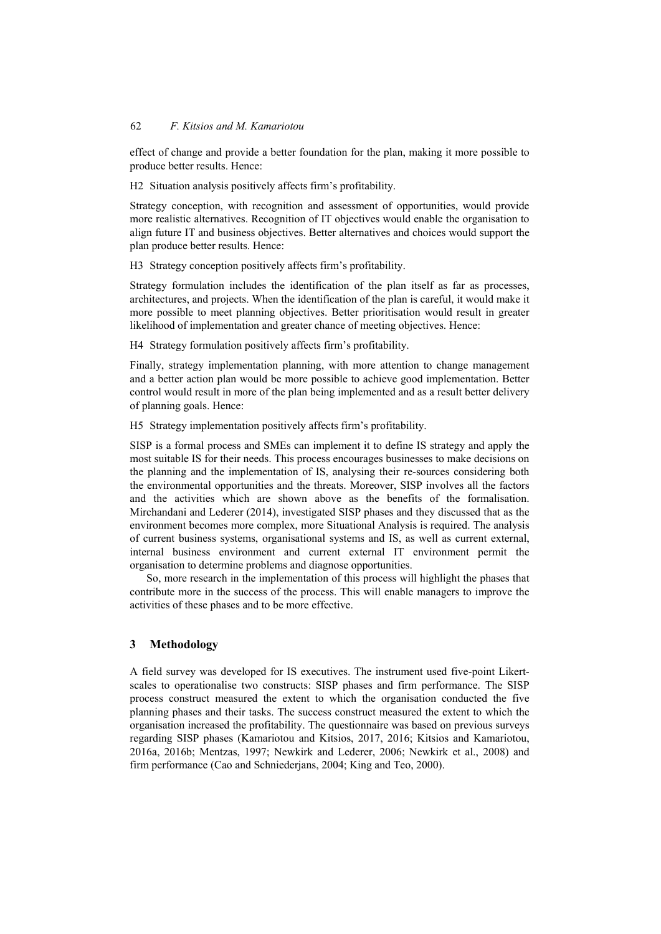effect of change and provide a better foundation for the plan, making it more possible to produce better results. Hence:

H2 Situation analysis positively affects firm's profitability.

Strategy conception, with recognition and assessment of opportunities, would provide more realistic alternatives. Recognition of IT objectives would enable the organisation to align future IT and business objectives. Better alternatives and choices would support the plan produce better results. Hence:

H3 Strategy conception positively affects firm's profitability.

Strategy formulation includes the identification of the plan itself as far as processes, architectures, and projects. When the identification of the plan is careful, it would make it more possible to meet planning objectives. Better prioritisation would result in greater likelihood of implementation and greater chance of meeting objectives. Hence:

H4 Strategy formulation positively affects firm's profitability.

Finally, strategy implementation planning, with more attention to change management and a better action plan would be more possible to achieve good implementation. Better control would result in more of the plan being implemented and as a result better delivery of planning goals. Hence:

H5 Strategy implementation positively affects firm's profitability.

SISP is a formal process and SMEs can implement it to define IS strategy and apply the most suitable IS for their needs. This process encourages businesses to make decisions on the planning and the implementation of IS, analysing their re-sources considering both the environmental opportunities and the threats. Moreover, SISP involves all the factors and the activities which are shown above as the benefits of the formalisation. Mirchandani and Lederer (2014), investigated SISP phases and they discussed that as the environment becomes more complex, more Situational Analysis is required. The analysis of current business systems, organisational systems and IS, as well as current external, internal business environment and current external IT environment permit the organisation to determine problems and diagnose opportunities.

So, more research in the implementation of this process will highlight the phases that contribute more in the success of the process. This will enable managers to improve the activities of these phases and to be more effective.

#### **3 Methodology**

A field survey was developed for IS executives. The instrument used five-point Likertscales to operationalise two constructs: SISP phases and firm performance. The SISP process construct measured the extent to which the organisation conducted the five planning phases and their tasks. The success construct measured the extent to which the organisation increased the profitability. The questionnaire was based on previous surveys regarding SISP phases (Kamariotou and Kitsios, 2017, 2016; Kitsios and Kamariotou, 2016a, 2016b; Mentzas, 1997; Newkirk and Lederer, 2006; Newkirk et al., 2008) and firm performance (Cao and Schniederjans, 2004; King and Teo, 2000).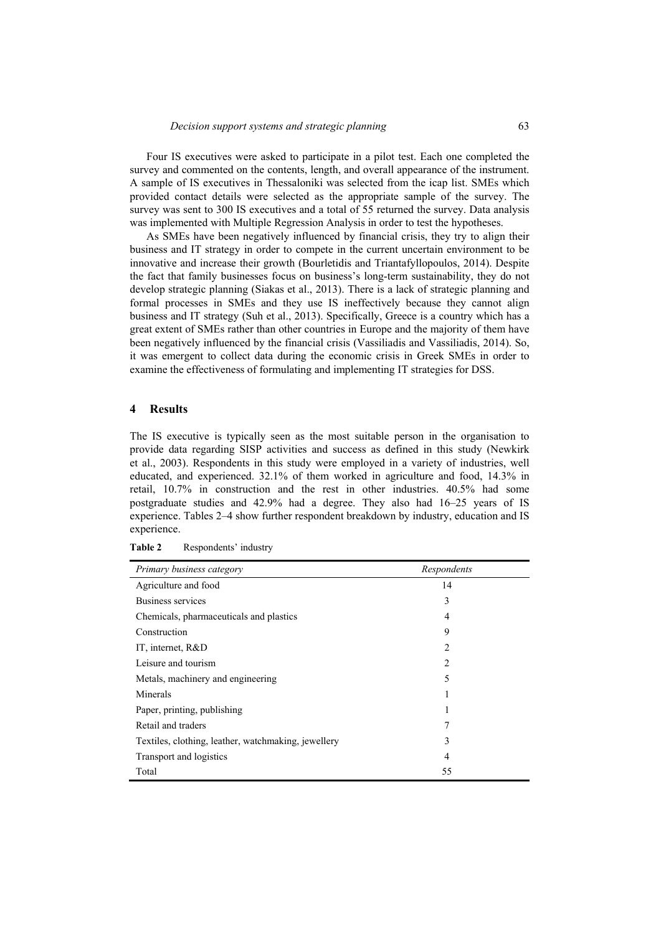Four IS executives were asked to participate in a pilot test. Each one completed the survey and commented on the contents, length, and overall appearance of the instrument. A sample of IS executives in Thessaloniki was selected from the icap list. SMEs which provided contact details were selected as the appropriate sample of the survey. The survey was sent to 300 IS executives and a total of 55 returned the survey. Data analysis was implemented with Multiple Regression Analysis in order to test the hypotheses.

As SMEs have been negatively influenced by financial crisis, they try to align their business and IT strategy in order to compete in the current uncertain environment to be innovative and increase their growth (Bourletidis and Triantafyllopoulos, 2014). Despite the fact that family businesses focus on business's long-term sustainability, they do not develop strategic planning (Siakas et al., 2013). There is a lack of strategic planning and formal processes in SMEs and they use IS ineffectively because they cannot align business and IT strategy (Suh et al., 2013). Specifically, Greece is a country which has a great extent of SMEs rather than other countries in Europe and the majority of them have been negatively influenced by the financial crisis (Vassiliadis and Vassiliadis, 2014). So, it was emergent to collect data during the economic crisis in Greek SMEs in order to examine the effectiveness of formulating and implementing IT strategies for DSS.

# **4 Results**

The IS executive is typically seen as the most suitable person in the organisation to provide data regarding SISP activities and success as defined in this study (Newkirk et al., 2003). Respondents in this study were employed in a variety of industries, well educated, and experienced. 32.1% of them worked in agriculture and food, 14.3% in retail, 10.7% in construction and the rest in other industries. 40.5% had some postgraduate studies and 42.9% had a degree. They also had 16–25 years of IS experience. Tables 2–4 show further respondent breakdown by industry, education and IS experience.

| Primary business category                           | Respondents    |  |
|-----------------------------------------------------|----------------|--|
| Agriculture and food                                | 14             |  |
| Business services                                   | 3              |  |
| Chemicals, pharmaceuticals and plastics             | 4              |  |
| Construction                                        | 9              |  |
| IT, internet, R&D                                   | 2              |  |
| Leisure and tourism                                 | $\overline{c}$ |  |
| Metals, machinery and engineering                   | 5              |  |
| Minerals                                            | 1              |  |
| Paper, printing, publishing                         | 1              |  |
| Retail and traders                                  | 7              |  |
| Textiles, clothing, leather, watchmaking, jewellery | 3              |  |
| Transport and logistics                             | 4              |  |
| Total                                               | 55             |  |

Table 2 Respondents' industry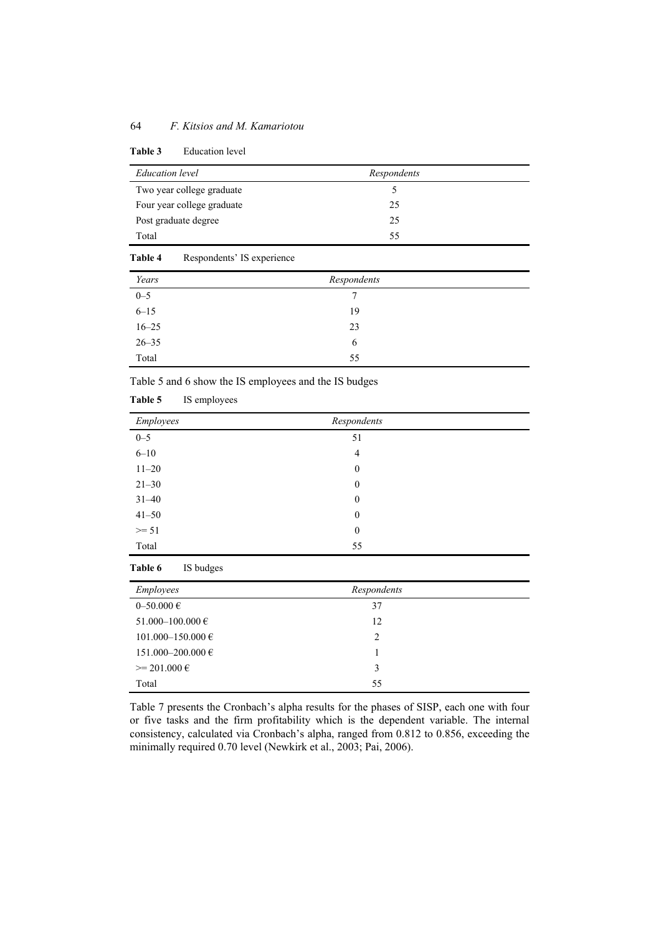|  | <b>Table 3</b> |  | <b>Education</b> level |  |
|--|----------------|--|------------------------|--|
|--|----------------|--|------------------------|--|

| <b>Education</b> level     | Respondents |  |
|----------------------------|-------------|--|
| Two year college graduate  |             |  |
| Four year college graduate | 25          |  |
| Post graduate degree       | 25          |  |
| Total                      | 55          |  |
|                            |             |  |

| Table 4   | Respondents' IS experience |             |  |
|-----------|----------------------------|-------------|--|
| Years     |                            | Respondents |  |
| $0 - 5$   |                            | 7           |  |
| $6 - 15$  |                            | 19          |  |
| $16 - 25$ |                            | 23          |  |
| $26 - 35$ |                            | 6           |  |

Table 5 and 6 show the IS employees and the IS budges

Total 55

| Table 5 | IS employees |  |
|---------|--------------|--|
|         |              |  |

| Employees<br>Respondents      |
|-------------------------------|
| $0 - 5$<br>51                 |
| $6 - 10$<br>$\overline{4}$    |
| $11 - 20$<br>$\boldsymbol{0}$ |
| $21 - 30$<br>$\boldsymbol{0}$ |
| $31 - 40$<br>$\boldsymbol{0}$ |
| $41 - 50$<br>$\boldsymbol{0}$ |
| $>= 51$<br>$\boldsymbol{0}$   |
| 55<br>Total                   |

# **Table 6** IS budges

| <b>Employees</b>        | Respondents |  |
|-------------------------|-------------|--|
| $0 - 50.000 \in$        | 37          |  |
| $51.000 - 100.000 \in$  | 12          |  |
| $101.000 - 150.000 \in$ | 2           |  |
| 151.000–200.000 €       |             |  |
| $\geq$ 201.000 $\in$    | 3           |  |
| Total                   | 55          |  |

Table 7 presents the Cronbach's alpha results for the phases of SISP, each one with four or five tasks and the firm profitability which is the dependent variable. The internal consistency, calculated via Cronbach's alpha, ranged from 0.812 to 0.856, exceeding the minimally required 0.70 level (Newkirk et al., 2003; Pai, 2006).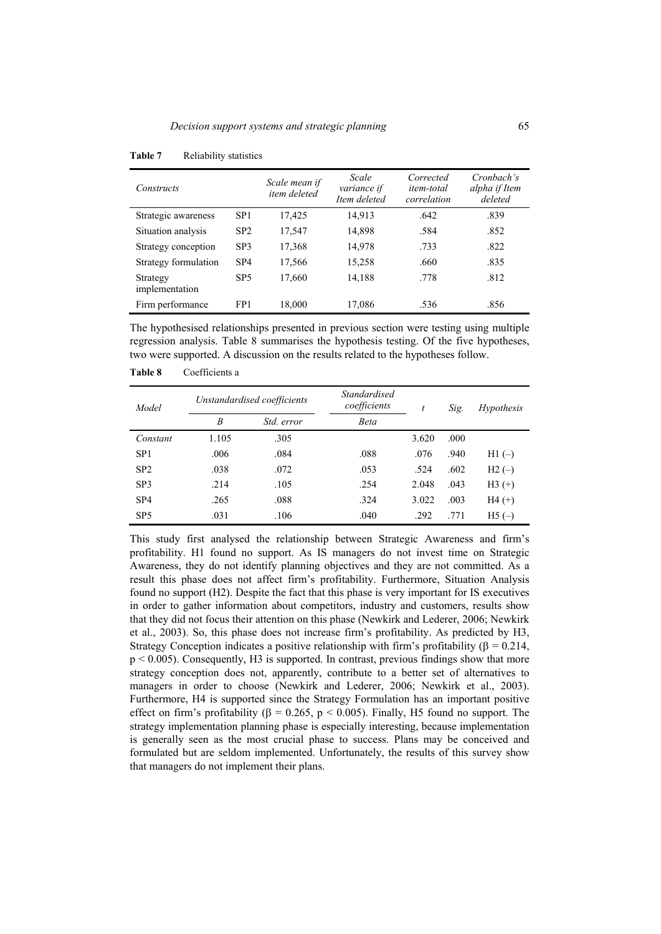| Constructs                 |                 | Scale mean if<br>item deleted | Scale<br>variance if<br>Item deleted | Corrected<br><i>item-total</i><br>correlation | Cronbach's<br>alpha if Item<br>deleted |
|----------------------------|-----------------|-------------------------------|--------------------------------------|-----------------------------------------------|----------------------------------------|
| Strategic awareness        | SP <sub>1</sub> | 17,425                        | 14,913                               | .642                                          | .839                                   |
| Situation analysis         | SP <sub>2</sub> | 17,547                        | 14,898                               | .584                                          | .852                                   |
| Strategy conception        | SP <sub>3</sub> | 17,368                        | 14,978                               | .733                                          | .822                                   |
| Strategy formulation       | SP <sub>4</sub> | 17,566                        | 15,258                               | .660                                          | .835                                   |
| Strategy<br>implementation | SP <sub>5</sub> | 17,660                        | 14,188                               | .778                                          | .812                                   |
| Firm performance           | FP <sub>1</sub> | 18,000                        | 17,086                               | .536                                          | .856                                   |

**Table 7** Reliability statistics

The hypothesised relationships presented in previous section were testing using multiple regression analysis. Table 8 summarises the hypothesis testing. Of the five hypotheses, two were supported. A discussion on the results related to the hypotheses follow.

**Table 8** Coefficients a

| Model           | Unstandardised coefficients |            | <i>Standardised</i><br>coefficients | t     | Sig. | <i>Hypothesis</i> |
|-----------------|-----------------------------|------------|-------------------------------------|-------|------|-------------------|
|                 | B                           | Std. error | Beta                                |       |      |                   |
| Constant        | 1.105                       | .305       |                                     | 3.620 | .000 |                   |
| SP <sub>1</sub> | .006                        | .084       | .088                                | .076  | .940 | $H1(-)$           |
| SP <sub>2</sub> | .038                        | .072       | .053                                | .524  | .602 | $H2(-)$           |
| SP <sub>3</sub> | .214                        | .105       | .254                                | 2.048 | .043 | $H3 (+)$          |
| SP <sub>4</sub> | .265                        | .088       | .324                                | 3.022 | .003 | $H4 (+)$          |
| SP <sub>5</sub> | .031                        | .106       | .040                                | .292  | .771 | $H5(-)$           |

This study first analysed the relationship between Strategic Awareness and firm's profitability. H1 found no support. As IS managers do not invest time on Strategic Awareness, they do not identify planning objectives and they are not committed. As a result this phase does not affect firm's profitability. Furthermore, Situation Analysis found no support (H2). Despite the fact that this phase is very important for IS executives in order to gather information about competitors, industry and customers, results show that they did not focus their attention on this phase (Newkirk and Lederer, 2006; Newkirk et al., 2003). So, this phase does not increase firm's profitability. As predicted by H3, Strategy Conception indicates a positive relationship with firm's profitability ( $\beta = 0.214$ , p < 0.005). Consequently, H3 is supported. In contrast, previous findings show that more strategy conception does not, apparently, contribute to a better set of alternatives to managers in order to choose (Newkirk and Lederer, 2006; Newkirk et al., 2003). Furthermore, H4 is supported since the Strategy Formulation has an important positive effect on firm's profitability ( $\beta = 0.265$ ,  $p < 0.005$ ). Finally, H5 found no support. The strategy implementation planning phase is especially interesting, because implementation is generally seen as the most crucial phase to success. Plans may be conceived and formulated but are seldom implemented. Unfortunately, the results of this survey show that managers do not implement their plans.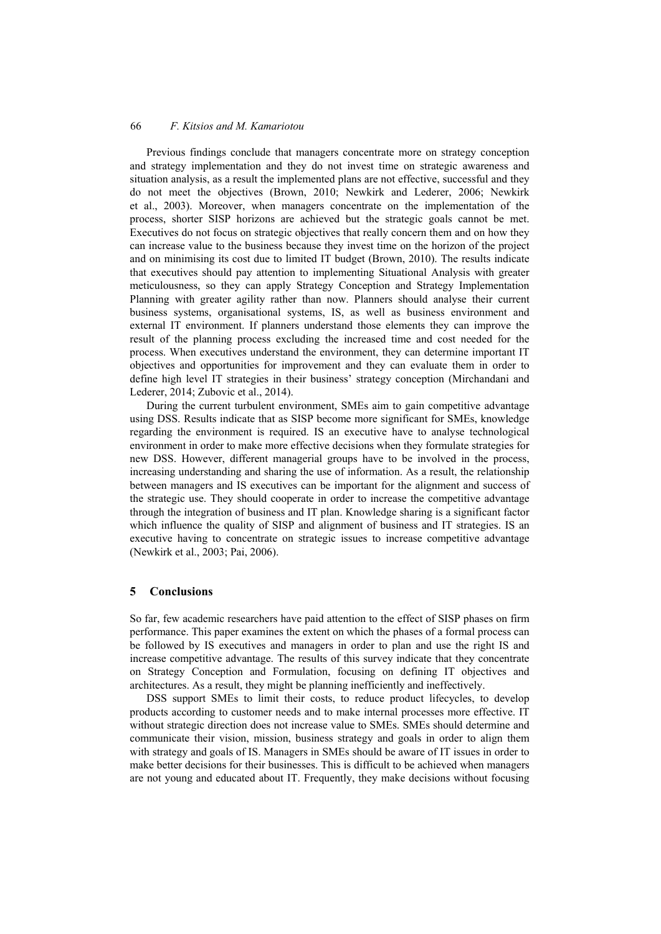Previous findings conclude that managers concentrate more on strategy conception and strategy implementation and they do not invest time on strategic awareness and situation analysis, as a result the implemented plans are not effective, successful and they do not meet the objectives (Brown, 2010; Newkirk and Lederer, 2006; Newkirk et al., 2003). Moreover, when managers concentrate on the implementation of the process, shorter SISP horizons are achieved but the strategic goals cannot be met. Executives do not focus on strategic objectives that really concern them and on how they can increase value to the business because they invest time on the horizon of the project and on minimising its cost due to limited IT budget (Brown, 2010). The results indicate that executives should pay attention to implementing Situational Analysis with greater meticulousness, so they can apply Strategy Conception and Strategy Implementation Planning with greater agility rather than now. Planners should analyse their current business systems, organisational systems, IS, as well as business environment and external IT environment. If planners understand those elements they can improve the result of the planning process excluding the increased time and cost needed for the process. When executives understand the environment, they can determine important IT objectives and opportunities for improvement and they can evaluate them in order to define high level IT strategies in their business' strategy conception (Mirchandani and Lederer, 2014; Zubovic et al., 2014).

During the current turbulent environment, SMEs aim to gain competitive advantage using DSS. Results indicate that as SISP become more significant for SMEs, knowledge regarding the environment is required. IS an executive have to analyse technological environment in order to make more effective decisions when they formulate strategies for new DSS. However, different managerial groups have to be involved in the process, increasing understanding and sharing the use of information. As a result, the relationship between managers and IS executives can be important for the alignment and success of the strategic use. They should cooperate in order to increase the competitive advantage through the integration of business and IT plan. Knowledge sharing is a significant factor which influence the quality of SISP and alignment of business and IT strategies. IS an executive having to concentrate on strategic issues to increase competitive advantage (Newkirk et al., 2003; Pai, 2006).

### **5 Conclusions**

So far, few academic researchers have paid attention to the effect of SISP phases on firm performance. This paper examines the extent on which the phases of a formal process can be followed by IS executives and managers in order to plan and use the right IS and increase competitive advantage. The results of this survey indicate that they concentrate on Strategy Conception and Formulation, focusing on defining IT objectives and architectures. As a result, they might be planning inefficiently and ineffectively.

DSS support SMEs to limit their costs, to reduce product lifecycles, to develop products according to customer needs and to make internal processes more effective. IT without strategic direction does not increase value to SMEs. SMEs should determine and communicate their vision, mission, business strategy and goals in order to align them with strategy and goals of IS. Managers in SMEs should be aware of IT issues in order to make better decisions for their businesses. This is difficult to be achieved when managers are not young and educated about IT. Frequently, they make decisions without focusing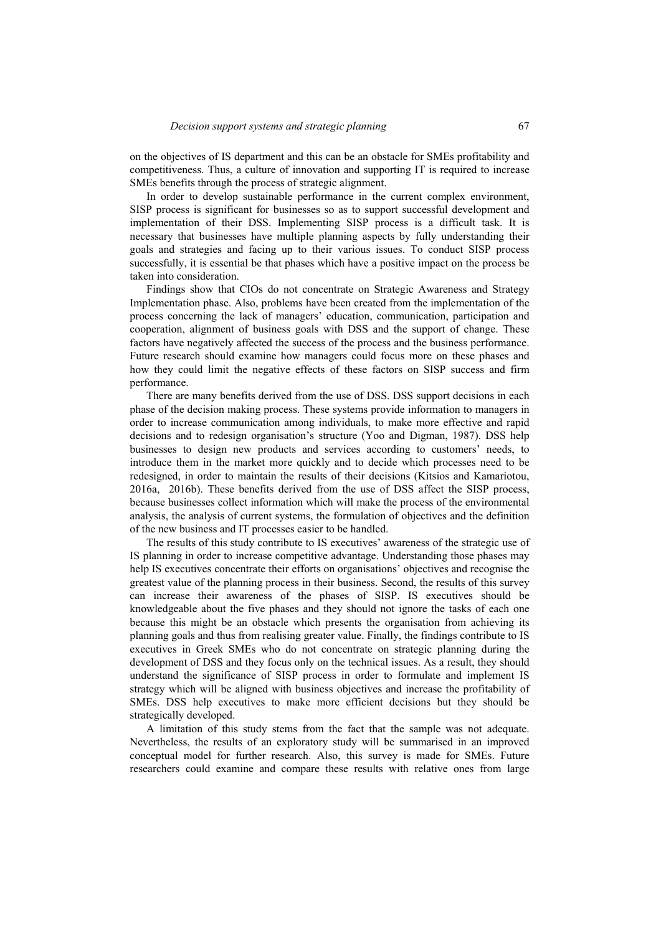on the objectives of IS department and this can be an obstacle for SMEs profitability and competitiveness. Thus, a culture of innovation and supporting IT is required to increase SMEs benefits through the process of strategic alignment.

In order to develop sustainable performance in the current complex environment, SISP process is significant for businesses so as to support successful development and implementation of their DSS. Implementing SISP process is a difficult task. It is necessary that businesses have multiple planning aspects by fully understanding their goals and strategies and facing up to their various issues. To conduct SISP process successfully, it is essential be that phases which have a positive impact on the process be taken into consideration.

Findings show that CIOs do not concentrate on Strategic Awareness and Strategy Implementation phase. Also, problems have been created from the implementation of the process concerning the lack of managers' education, communication, participation and cooperation, alignment of business goals with DSS and the support of change. These factors have negatively affected the success of the process and the business performance. Future research should examine how managers could focus more on these phases and how they could limit the negative effects of these factors on SISP success and firm performance.

There are many benefits derived from the use of DSS. DSS support decisions in each phase of the decision making process. These systems provide information to managers in order to increase communication among individuals, to make more effective and rapid decisions and to redesign organisation's structure (Yoo and Digman, 1987). DSS help businesses to design new products and services according to customers' needs, to introduce them in the market more quickly and to decide which processes need to be redesigned, in order to maintain the results of their decisions (Kitsios and Kamariotou, 2016a, 2016b). These benefits derived from the use of DSS affect the SISP process, because businesses collect information which will make the process of the environmental analysis, the analysis of current systems, the formulation of objectives and the definition of the new business and IT processes easier to be handled.

The results of this study contribute to IS executives' awareness of the strategic use of IS planning in order to increase competitive advantage. Understanding those phases may help IS executives concentrate their efforts on organisations' objectives and recognise the greatest value of the planning process in their business. Second, the results of this survey can increase their awareness of the phases of SISP. IS executives should be knowledgeable about the five phases and they should not ignore the tasks of each one because this might be an obstacle which presents the organisation from achieving its planning goals and thus from realising greater value. Finally, the findings contribute to IS executives in Greek SMEs who do not concentrate on strategic planning during the development of DSS and they focus only on the technical issues. As a result, they should understand the significance of SISP process in order to formulate and implement IS strategy which will be aligned with business objectives and increase the profitability of SMEs. DSS help executives to make more efficient decisions but they should be strategically developed.

A limitation of this study stems from the fact that the sample was not adequate. Nevertheless, the results of an exploratory study will be summarised in an improved conceptual model for further research. Also, this survey is made for SMEs. Future researchers could examine and compare these results with relative ones from large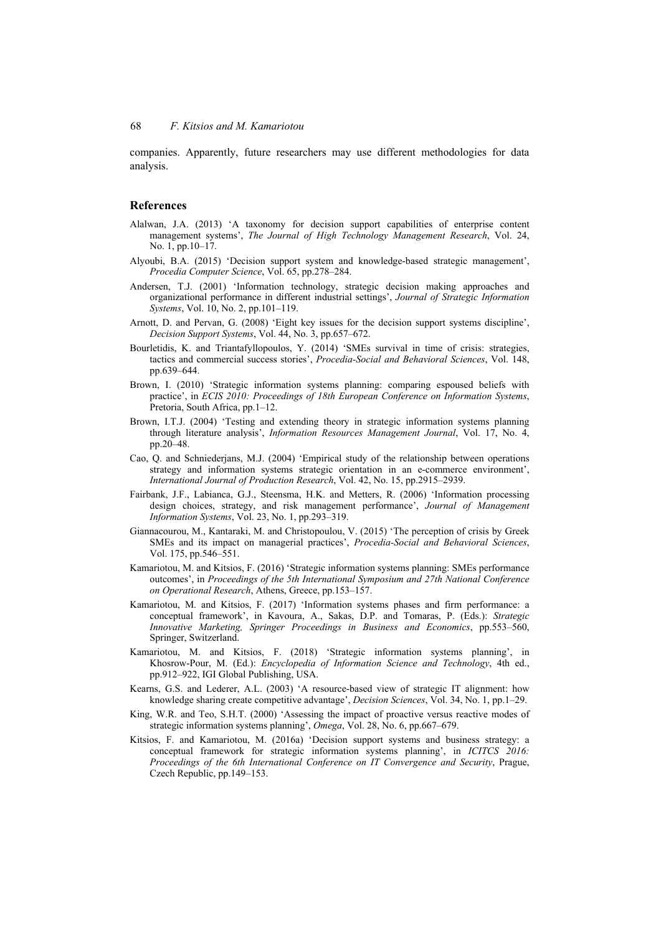companies. Apparently, future researchers may use different methodologies for data analysis.

#### **References**

- Alalwan, J.A. (2013) 'A taxonomy for decision support capabilities of enterprise content management systems', *The Journal of High Technology Management Research*, Vol. 24, No. 1, pp.10–17.
- Alyoubi, B.A. (2015) 'Decision support system and knowledge-based strategic management', *Procedia Computer Science*, Vol. 65, pp.278–284.
- Andersen, T.J. (2001) 'Information technology, strategic decision making approaches and organizational performance in different industrial settings', *Journal of Strategic Information Systems*, Vol. 10, No. 2, pp.101–119.
- Arnott, D. and Pervan, G. (2008) 'Eight key issues for the decision support systems discipline', *Decision Support Systems*, Vol. 44, No. 3, pp.657–672.
- Bourletidis, K. and Triantafyllopoulos, Y. (2014) 'SMEs survival in time of crisis: strategies, tactics and commercial success stories', *Procedia-Social and Behavioral Sciences*, Vol. 148, pp.639–644.
- Brown, I. (2010) 'Strategic information systems planning: comparing espoused beliefs with practice', in *ECIS 2010: Proceedings of 18th European Conference on Information Systems*, Pretoria, South Africa, pp.1–12.
- Brown, I.T.J. (2004) 'Testing and extending theory in strategic information systems planning through literature analysis', *Information Resources Management Journal*, Vol. 17, No. 4, pp.20–48.
- Cao, Q. and Schniederjans, M.J. (2004) 'Empirical study of the relationship between operations strategy and information systems strategic orientation in an e-commerce environment', *International Journal of Production Research*, Vol. 42, No. 15, pp.2915–2939.
- Fairbank, J.F., Labianca, G.J., Steensma, H.K. and Metters, R. (2006) 'Information processing design choices, strategy, and risk management performance', *Journal of Management Information Systems*, Vol. 23, No. 1, pp.293–319.
- Giannacourou, M., Kantaraki, M. and Christopoulou, V. (2015) 'The perception of crisis by Greek SMEs and its impact on managerial practices', *Procedia-Social and Behavioral Sciences*, Vol. 175, pp.546–551.
- Kamariotou, M. and Kitsios, F. (2016) 'Strategic information systems planning: SMEs performance outcomes', in *Proceedings of the 5th International Symposium and 27th National Conference on Operational Research*, Athens, Greece, pp.153–157.
- Kamariotou, M. and Kitsios, F. (2017) 'Information systems phases and firm performance: a conceptual framework', in Kavoura, A., Sakas, D.P. and Tomaras, P. (Eds.): *Strategic Innovative Marketing, Springer Proceedings in Business and Economics*, pp.553–560, Springer, Switzerland.
- Kamariotou, M. and Kitsios, F. (2018) 'Strategic information systems planning', in Khosrow-Pour, M. (Ed.): *Encyclopedia of Information Science and Technology*, 4th ed., pp.912–922, IGI Global Publishing, USA.
- Kearns, G.S. and Lederer, A.L. (2003) 'A resource-based view of strategic IT alignment: how knowledge sharing create competitive advantage', *Decision Sciences*, Vol. 34, No. 1, pp.1–29.
- King, W.R. and Teo, S.H.T. (2000) 'Assessing the impact of proactive versus reactive modes of strategic information systems planning', *Omega*, Vol. 28, No. 6, pp.667–679.
- Kitsios, F. and Kamariotou, M. (2016a) 'Decision support systems and business strategy: a conceptual framework for strategic information systems planning', in *ICITCS* 2016: *Proceedings of the 6th International Conference on IT Convergence and Security*, Prague, Czech Republic, pp.149–153.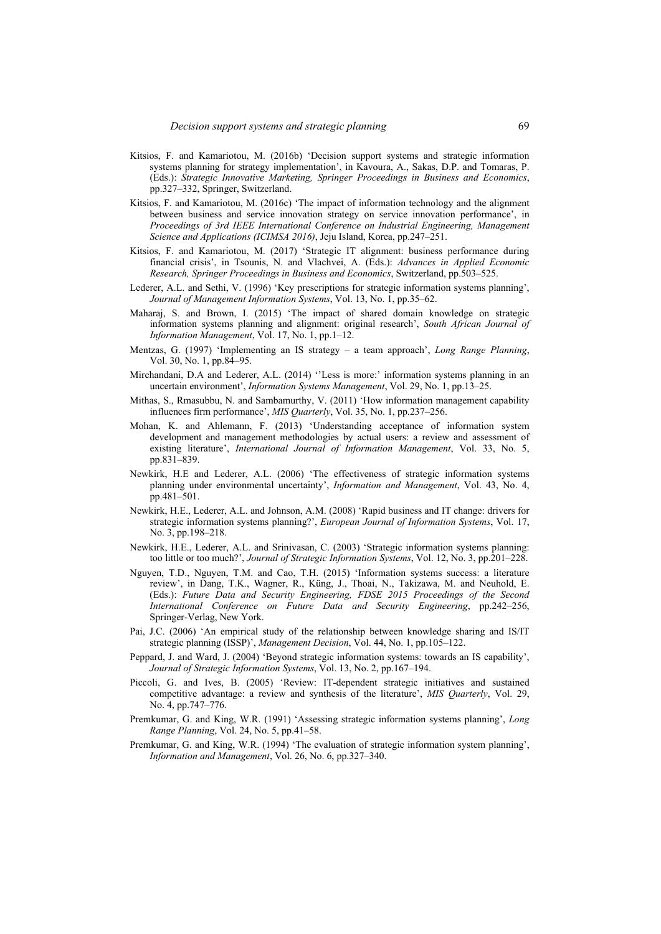- Kitsios, F. and Kamariotou, M. (2016b) 'Decision support systems and strategic information systems planning for strategy implementation', in Kavoura, A., Sakas, D.P. and Tomaras, P. (Eds.): *Strategic Innovative Marketing, Springer Proceedings in Business and Economics*, pp.327–332, Springer, Switzerland.
- Kitsios, F. and Kamariotou, M. (2016c) 'The impact of information technology and the alignment between business and service innovation strategy on service innovation performance', in *Proceedings of 3rd IEEE International Conference on Industrial Engineering, Management Science and Applications (ICIMSA 2016)*, Jeju Island, Korea, pp.247–251.
- Kitsios, F. and Kamariotou, M. (2017) 'Strategic IT alignment: business performance during financial crisis', in Tsounis, N. and Vlachvei, A. (Eds.): *Advances in Applied Economic Research, Springer Proceedings in Business and Economics*, Switzerland, pp.503–525.
- Lederer, A.L. and Sethi, V. (1996) 'Key prescriptions for strategic information systems planning', *Journal of Management Information Systems*, Vol. 13, No. 1, pp.35–62.
- Maharaj, S. and Brown, I. (2015) 'The impact of shared domain knowledge on strategic information systems planning and alignment: original research', *South African Journal of Information Management*, Vol. 17, No. 1, pp.1–12.
- Mentzas, G. (1997) 'Implementing an IS strategy a team approach', *Long Range Planning*, Vol. 30, No. 1, pp.84–95.
- Mirchandani, D.A and Lederer, A.L. (2014) ''Less is more:' information systems planning in an uncertain environment', *Information Systems Management*, Vol. 29, No. 1, pp.13–25.
- Mithas, S., Rmasubbu, N. and Sambamurthy, V. (2011) 'How information management capability influences firm performance', *MIS Quarterly*, Vol. 35, No. 1, pp.237–256.
- Mohan, K. and Ahlemann, F. (2013) 'Understanding acceptance of information system development and management methodologies by actual users: a review and assessment of existing literature', *International Journal of Information Management*, Vol. 33, No. 5, pp.831–839.
- Newkirk, H.E and Lederer, A.L. (2006) 'The effectiveness of strategic information systems planning under environmental uncertainty', *Information and Management*, Vol. 43, No. 4, pp.481–501.
- Newkirk, H.E., Lederer, A.L. and Johnson, A.M. (2008) 'Rapid business and IT change: drivers for strategic information systems planning?', *European Journal of Information Systems*, Vol. 17, No. 3, pp.198–218.
- Newkirk, H.E., Lederer, A.L. and Srinivasan, C. (2003) 'Strategic information systems planning: too little or too much?', *Journal of Strategic Information Systems*, Vol. 12, No. 3, pp.201–228.
- Nguyen, T.D., Nguyen, T.M. and Cao, T.H. (2015) 'Information systems success: a literature review', in Dang, T.K., Wagner, R., Küng, J., Thoai, N., Takizawa, M. and Neuhold, E. (Eds.): *Future Data and Security Engineering, FDSE 2015 Proceedings of the Second International Conference on Future Data and Security Engineering*, pp.242–256, Springer-Verlag, New York.
- Pai, J.C. (2006) 'An empirical study of the relationship between knowledge sharing and IS/IT strategic planning (ISSP)', *Management Decision*, Vol. 44, No. 1, pp.105–122.
- Peppard, J. and Ward, J. (2004) 'Beyond strategic information systems: towards an IS capability', *Journal of Strategic Information Systems*, Vol. 13, No. 2, pp.167–194.
- Piccoli, G. and Ives, B. (2005) 'Review: IT-dependent strategic initiatives and sustained competitive advantage: a review and synthesis of the literature', *MIS Quarterly*, Vol. 29, No. 4, pp.747–776.
- Premkumar, G. and King, W.R. (1991) 'Assessing strategic information systems planning', *Long Range Planning*, Vol. 24, No. 5, pp.41–58.
- Premkumar, G. and King, W.R. (1994) 'The evaluation of strategic information system planning', *Information and Management*, Vol. 26, No. 6, pp.327–340.